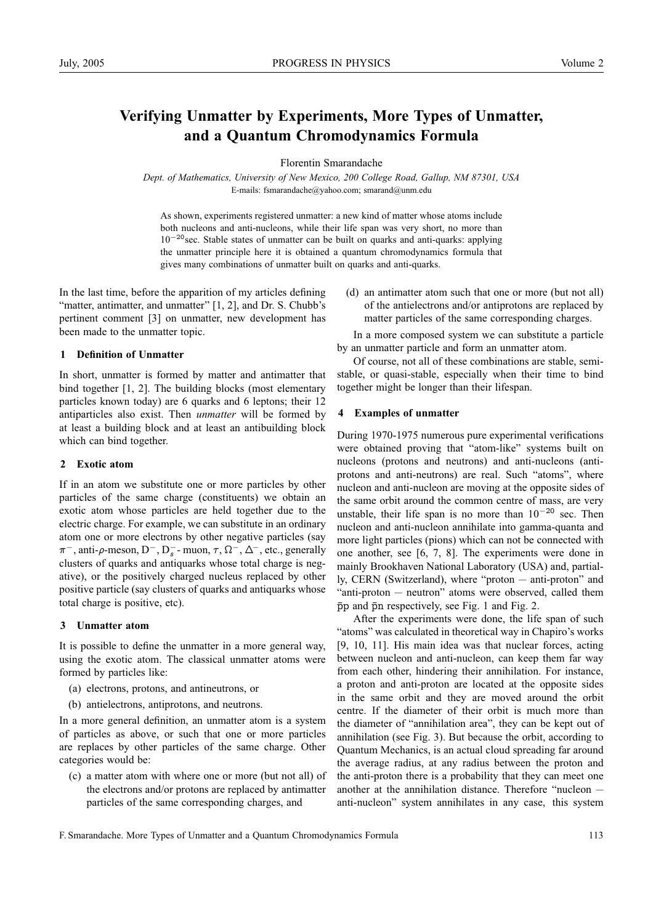# **Verifying Unmatter by Experiments, More Types of Unmatter, and a Quantum Chromodynamics Formula**

Florentin Smarandache

*Dept. of Mathematics, University of New Mexico, 200 College Road, Gallup, NM 87301, USA* E-mails: fsmarandache@yahoo.com; smarand@unm.edu

As shown, experiments registered unmatter: a new kind of matter whose atoms include both nucleons and anti-nucleons, while their life span was very short, no more than  $10^{-20}$  sec. Stable states of unmatter can be built on quarks and anti-quarks: applying the unmatter principle here it is obtained a quantum chromodynamics formula that gives many combinations of unmatter built on quarks and anti-quarks.

In the last time, before the apparition of my articles defining "matter, antimatter, and unmatter" [1, 2], and Dr. S. Chubb's pertinent comment [3] on unmatter, new development has been made to the unmatter topic.

# **1 Definition of Unmatter**

In short, unmatter is formed by matter and antimatter that bind together [1, 2]. The building blocks (most elementary particles known today) are 6 quarks and 6 leptons; their 12 antiparticles also exist. Then *unmatter* will be formed by at least a building block and at least an antibuilding block which can bind together.

## **2 Exotic atom**

If in an atom we substitute one or more particles by other particles of the same charge (constituents) we obtain an exotic atom whose particles are held together due to the electric charge. For example, we can substitute in an ordinary atom one or more electrons by other negative particles (say  $\pi^-$ , anti- $\rho$ -meson, D<sup>-</sup>, D<sub>s</sub><sup>-</sup> muon,  $\tau$ ,  $\Omega^-$ ,  $\Delta^-$ , etc., generally clusters of quarks and antiquarks whose total charge is negative), or the positively charged nucleus replaced by other positive particle (say clusters of quarks and antiquarks whose total charge is positive, etc).

#### **3 Unmatter atom**

It is possible to define the unmatter in a more general way, using the exotic atom. The classical unmatter atoms were formed by particles like:

- (a) electrons, protons, and antineutrons, or
- (b) antielectrons, antiprotons, and neutrons.

In a more general definition, an unmatter atom is a system of particles as above, or such that one or more particles are replaces by other particles of the same charge. Other categories would be:

(c) a matter atom with where one or more (but not all) of the electrons and/or protons are replaced by antimatter particles of the same corresponding charges, and

(d) an antimatter atom such that one or more (but not all) of the antielectrons and/or antiprotons are replaced by matter particles of the same corresponding charges.

In a more composed system we can substitute a particle by an unmatter particle and form an unmatter atom.

Of course, not all of these combinations are stable, semistable, or quasi-stable, especially when their time to bind together might be longer than their lifespan.

### **4 Examples of unmatter**

During 1970-1975 numerous pure experimental verifications were obtained proving that "atom-like" systems built on nucleons (protons and neutrons) and anti-nucleons (antiprotons and anti-neutrons) are real. Such "atoms", where nucleon and anti-nucleon are moving at the opposite sides of the same orbit around the common centre of mass, are very unstable, their life span is no more than  $10^{-20}$  sec. Then nucleon and anti-nucleon annihilate into gamma-quanta and more light particles (pions) which can not be connected with one another, see [6, 7, 8]. The experiments were done in mainly Brookhaven National Laboratory (USA) and, partially, CERN (Switzerland), where "proton — anti-proton" and "anti-proton — neutron" atoms were observed, called them  $\bar{p}p$  and  $\bar{p}n$  respectively, see Fig. 1 and Fig. 2.

After the experiments were done, the life span of such "atoms" was calculated in theoretical way in Chapiro's works [9, 10, 11]. His main idea was that nuclear forces, acting between nucleon and anti-nucleon, can keep them far way from each other, hindering their annihilation. For instance, a proton and anti-proton are located at the opposite sides in the same orbit and they are moved around the orbit centre. If the diameter of their orbit is much more than the diameter of "annihilation area", they can be kept out of annihilation (see Fig. 3). But because the orbit, according to Quantum Mechanics, is an actual cloud spreading far around the average radius, at any radius between the proton and the anti-proton there is a probability that they can meet one another at the annihilation distance. Therefore "nucleon anti-nucleon" system annihilates in any case, this system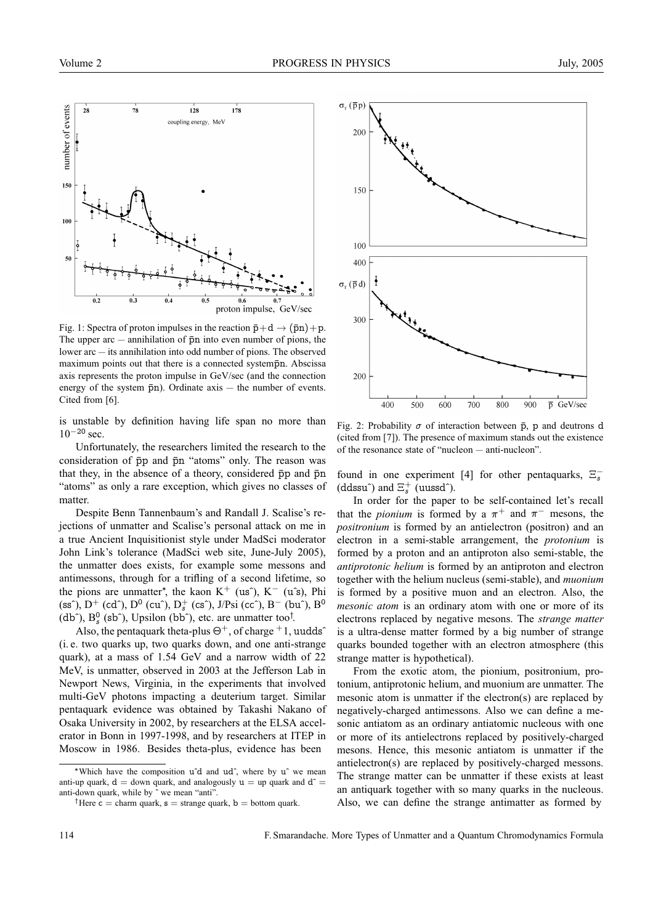

Fig. 1: Spectra of proton impulses in the reaction  $\bar{p}+d \rightarrow (\bar{p}n)+p$ . The upper arc  $-$  annihilation of  $\bar{p}n$  into even number of pions, the lower arc — its annihilation into odd number of pions. The observed maximum points out that there is a connected systempn. Abscissa axis represents the proton impulse in GeV/sec (and the connection energy of the system  $\bar{p}n$ ). Ordinate axis — the number of events. Cited from [6].

is unstable by definition having life span no more than  $10^{-20}$  sec.

Unfortunately, the researchers limited the research to the consideration of  $\bar{p}p$  and  $\bar{p}n$  "atoms" only. The reason was that they, in the absence of a theory, considered  $\bar{p}p$  and  $\bar{p}n$ "atoms" as only a rare exception, which gives no classes of matter.

Despite Benn Tannenbaum's and Randall J. Scalise's rejections of unmatter and Scalise's personal attack on me in a true Ancient Inquisitionist style under MadSci moderator John Link's tolerance (MadSci web site, June-July 2005), the unmatter does exists, for example some messons and antimessons, through for a trifling of a second lifetime, so the pions are unmatter<sup>\*</sup>, the kaon K<sup>+</sup> (us<sup>o</sup>), K<sup>-</sup> (u<sup>o</sup>s), Phi (ss^), D<sup>+</sup> (cd^), D<sup>0</sup> (cu^), D<sub>s</sub><sup>+</sup> (cs^), J/Psi (cc^), B<sup>-</sup> (bu^), B<sup>0</sup> (db<sup> $\hat{ }$ </sup>), B<sup>0</sup><sub>s</sub> (sb $\hat{ }$ ), Upsilon (bb $\hat{ }$ ), etc. are unmatter too<sup>†</sup>.

Also, the pentaquark theta-plus  $\Theta^+$ , of charge  $+1$ , uudds<sup> $\hat{\ }$ </sup> (i. e. two quarks up, two quarks down, and one anti-strange quark), at a mass of 1.54 GeV and a narrow width of 22 MeV, is unmatter, observed in 2003 at the Jefferson Lab in Newport News, Virginia, in the experiments that involved multi-GeV photons impacting a deuterium target. Similar pentaquark evidence was obtained by Takashi Nakano of Osaka University in 2002, by researchers at the ELSA accelerator in Bonn in 1997-1998, and by researchers at ITEP in Moscow in 1986. Besides theta-plus, evidence has been



Fig. 2: Probability  $\sigma$  of interaction between  $\bar{p}$ , p and deutrons d (cited from [7]). The presence of maximum stands out the existence of the resonance state of "nucleon — anti-nucleon".

found in one experiment [4] for other pentaquarks,  $\Xi_s^-$ (ddssu^) and  $\Xi_s^+$  (uussd^).

In order for the paper to be self-contained let's recall that the *pionium* is formed by a  $\pi^+$  and  $\pi^-$  mesons, the *positronium* is formed by an antielectron (positron) and an electron in a semi-stable arrangement, the *protonium* is formed by a proton and an antiproton also semi-stable, the *antiprotonic helium* is formed by an antiproton and electron together with the helium nucleus (semi-stable), and *muonium* is formed by a positive muon and an electron. Also, the *mesonic atom* is an ordinary atom with one or more of its electrons replaced by negative mesons. The *strange matter* is a ultra-dense matter formed by a big number of strange quarks bounded together with an electron atmosphere (this strange matter is hypothetical).

From the exotic atom, the pionium, positronium, protonium, antiprotonic helium, and muonium are unmatter. The mesonic atom is unmatter if the electron(s) are replaced by negatively-charged antimessons. Also we can define a mesonic antiatom as an ordinary antiatomic nucleous with one or more of its antielectrons replaced by positively-charged mesons. Hence, this mesonic antiatom is unmatter if the antielectron(s) are replaced by positively-charged messons. The strange matter can be unmatter if these exists at least an antiquark together with so many quarks in the nucleous. Also, we can define the strange antimatter as formed by

<sup>∗</sup>Which have the composition uˆd and udˆ, where by uˆ we mean anti-up quark,  $d =$  down quark, and analogously  $u =$  up quark and  $d^{\sim} =$ anti-down quark, while by ˆ we mean "anti".

<sup>&</sup>lt;sup>†</sup>Here c = charm quark,  $s$  = strange quark,  $b$  = bottom quark.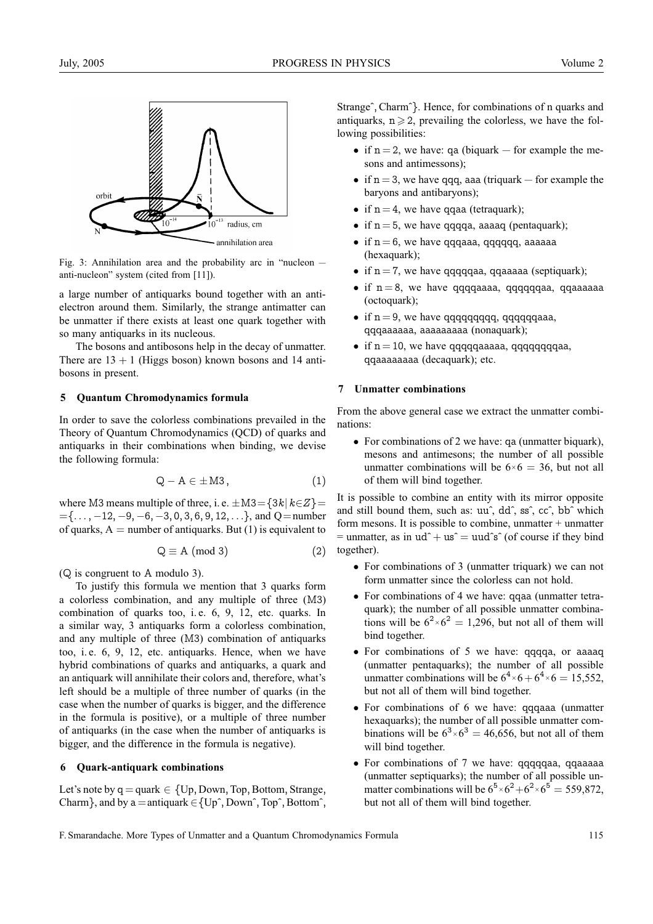

Fig. 3: Annihilation area and the probability arc in "nucleon anti-nucleon" system (cited from [11]).

a large number of antiquarks bound together with an antielectron around them. Similarly, the strange antimatter can be unmatter if there exists at least one quark together with so many antiquarks in its nucleous.

The bosons and antibosons help in the decay of unmatter. There are  $13 + 1$  (Higgs boson) known bosons and 14 antibosons in present.

#### **5 Quantum Chromodynamics formula**

In order to save the colorless combinations prevailed in the Theory of Quantum Chromodynamics (QCD) of quarks and antiquarks in their combinations when binding, we devise the following formula:

$$
Q - A \in \pm M3, \qquad (1)
$$

where M3 means multiple of three, i. e.  $\pm$ M3={3k| k∈Z}=  $=\{\ldots, -12, -9, -6, -3, 0, 3, 6, 9, 12, \ldots\}$ , and Q=number of quarks,  $A =$  number of antiquarks. But (1) is equivalent to

$$
Q \equiv A \pmod{3} \tag{2}
$$

(Q is congruent to A modulo 3).

To justify this formula we mention that 3 quarks form a colorless combination, and any multiple of three (M3) combination of quarks too, i. e. 6, 9, 12, etc. quarks. In a similar way, 3 antiquarks form a colorless combination, and any multiple of three (M3) combination of antiquarks too, i. e. 6, 9, 12, etc. antiquarks. Hence, when we have hybrid combinations of quarks and antiquarks, a quark and an antiquark will annihilate their colors and, therefore, what's left should be a multiple of three number of quarks (in the case when the number of quarks is bigger, and the difference in the formula is positive), or a multiple of three number of antiquarks (in the case when the number of antiquarks is bigger, and the difference in the formula is negative).

#### **6 Quark-antiquark combinations**

Let's note by  $q =$  quark  $\in \{Up, Down, Top, Bottom, Strange,$ Charm }, and by  $a = \text{antiquark} \in \{Up^{\hat{}}\text{, Down}^{\hat{}}\text{, Top}^{\hat{}}\text{, Bottom}^{\hat{}}\text{,}}$  Strangeˆ, Charmˆ}. Hence, for combinations of n quarks and antiquarks,  $n \ge 2$ , prevailing the colorless, we have the following possibilities:

- if  $n = 2$ , we have: qa (biquark for example the mesons and antimessons);
- if  $n = 3$ , we have qqq, aaa (triquark for example the baryons and antibaryons);
- if  $n = 4$ , we have qqaa (tetraquark);
- if  $n = 5$ , we have qqqqa, aaaaq (pentaquark);
- if  $n = 6$ , we have qqqaaa, qqqqqq, aaaaaa (hexaquark);
- if  $n = 7$ , we have qqqqqaa, qqaaaaa (septiquark);
- if  $n = 8$ , we have qqqqaaaa, qqqqqqaa, qqaaaaaa (octoquark);
- if  $n = 9$ , we have qqqqqqqqqqq, qqqqqqqaaa, qqqaaaaaa, aaaaaaaaa (nonaquark);
- if  $n = 10$ , we have qqqqqaaaaa, qqqqqqqqaa, qqaaaaaaaa (decaquark); etc.

# **7 Unmatter combinations**

From the above general case we extract the unmatter combinations:

• For combinations of 2 we have: qa (unmatter biquark), mesons and antimesons; the number of all possible unmatter combinations will be  $6 \times 6 = 36$ , but not all of them will bind together.

It is possible to combine an entity with its mirror opposite and still bound them, such as: uuˆ, ddˆ, ssˆ, ccˆ, bbˆ which form mesons. It is possible to combine, unmatter  $+$  unmatter = unmatter, as in  $ud^+ + us^* = uud^*s^*$  (of course if they bind together).

- For combinations of 3 (unmatter triquark) we can not form unmatter since the colorless can not hold.
- For combinations of 4 we have: qqaa (unmatter tetraquark); the number of all possible unmatter combinations will be  $6^2 \times 6^2 = 1,296$ , but not all of them will bind together.
- For combinations of 5 we have: qqqqa, or aaaaq (unmatter pentaquarks); the number of all possible unmatter combinations will be  $6^4 \times 6 + 6^4 \times 6 = 15,552$ , but not all of them will bind together.
- For combinations of 6 we have: qqqaaa (unmatter hexaquarks); the number of all possible unmatter combinations will be  $6^3 \times 6^3 = 46,656$ , but not all of them will bind together.
- For combinations of 7 we have: qqqqqaa, qqaaaaa (unmatter septiquarks); the number of all possible unmatter combinations will be  $6^5 \times 6^2 + 6^2 \times 6^5 = 559,872$ , but not all of them will bind together.